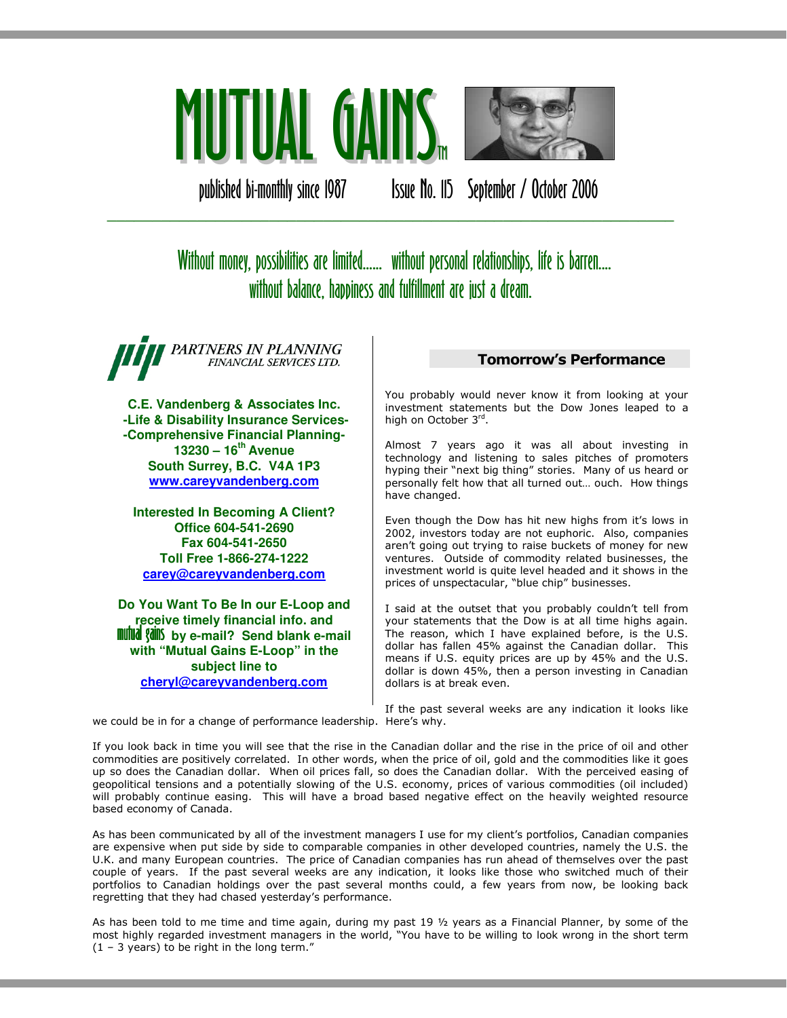

published bi-monthly since 1987 Issue No. 115 September / October 2006

# Without money, possibilities are limited...... without personal relationships, life is barren.... without balance, happiness and fulfillment are just a dream.

\_\_\_\_\_\_\_\_\_\_\_\_\_\_\_\_\_\_\_\_\_\_\_\_\_\_\_\_\_\_\_\_\_\_\_\_\_\_\_\_\_\_\_\_\_\_\_\_\_\_\_\_\_\_\_\_\_\_\_\_\_\_\_

PARTNERS IN PLANNING FINANCIAL SERVICES LTD.

**C.E. Vandenberg & Associates Inc. -Life & Disability Insurance Services- -Comprehensive Financial Planning-13230 – 16th Avenue South Surrey, B.C. V4A 1P3 www.careyvandenberg.com**

**Interested In Becoming A Client? Office 604-541-2690 Fax 604-541-2650 Toll Free 1-866-274-1222 carey@careyvandenberg.com**

**Do You Want To Be In our E-Loop and receive timely financial info. and<br><b>nutual gain**s by e-mail? Send blank e-mail **with "Mutual Gains E-Loop" in the subject line to cheryl@careyvandenberg.com**

## Tomorrow's Performance

You probably would never know it from looking at your investment statements but the Dow Jones leaped to a high on October 3rd.

Almost 7 years ago it was all about investing in technology and listening to sales pitches of promoters hyping their "next big thing" stories. Many of us heard or personally felt how that all turned out… ouch. How things have changed.

Even though the Dow has hit new highs from it's lows in 2002, investors today are not euphoric. Also, companies aren't going out trying to raise buckets of money for new ventures. Outside of commodity related businesses, the investment world is quite level headed and it shows in the prices of unspectacular, "blue chip" businesses.

I said at the outset that you probably couldn't tell from your statements that the Dow is at all time highs again. The reason, which I have explained before, is the U.S. dollar has fallen 45% against the Canadian dollar. This means if U.S. equity prices are up by 45% and the U.S. dollar is down 45%, then a person investing in Canadian dollars is at break even.

If the past several weeks are any indication it looks like we could be in for a change of performance leadership. Here's why.

If you look back in time you will see that the rise in the Canadian dollar and the rise in the price of oil and other commodities are positively correlated. In other words, when the price of oil, gold and the commodities like it goes up so does the Canadian dollar. When oil prices fall, so does the Canadian dollar. With the perceived easing of geopolitical tensions and a potentially slowing of the U.S. economy, prices of various commodities (oil included) will probably continue easing. This will have a broad based negative effect on the heavily weighted resource based economy of Canada.

As has been communicated by all of the investment managers I use for my client's portfolios, Canadian companies are expensive when put side by side to comparable companies in other developed countries, namely the U.S. the U.K. and many European countries. The price of Canadian companies has run ahead of themselves over the past couple of years. If the past several weeks are any indication, it looks like those who switched much of their portfolios to Canadian holdings over the past several months could, a few years from now, be looking back regretting that they had chased yesterday's performance.

As has been told to me time and time again, during my past 19 ½ years as a Financial Planner, by some of the most highly regarded investment managers in the world, "You have to be willing to look wrong in the short term  $(1 - 3$  years) to be right in the long term."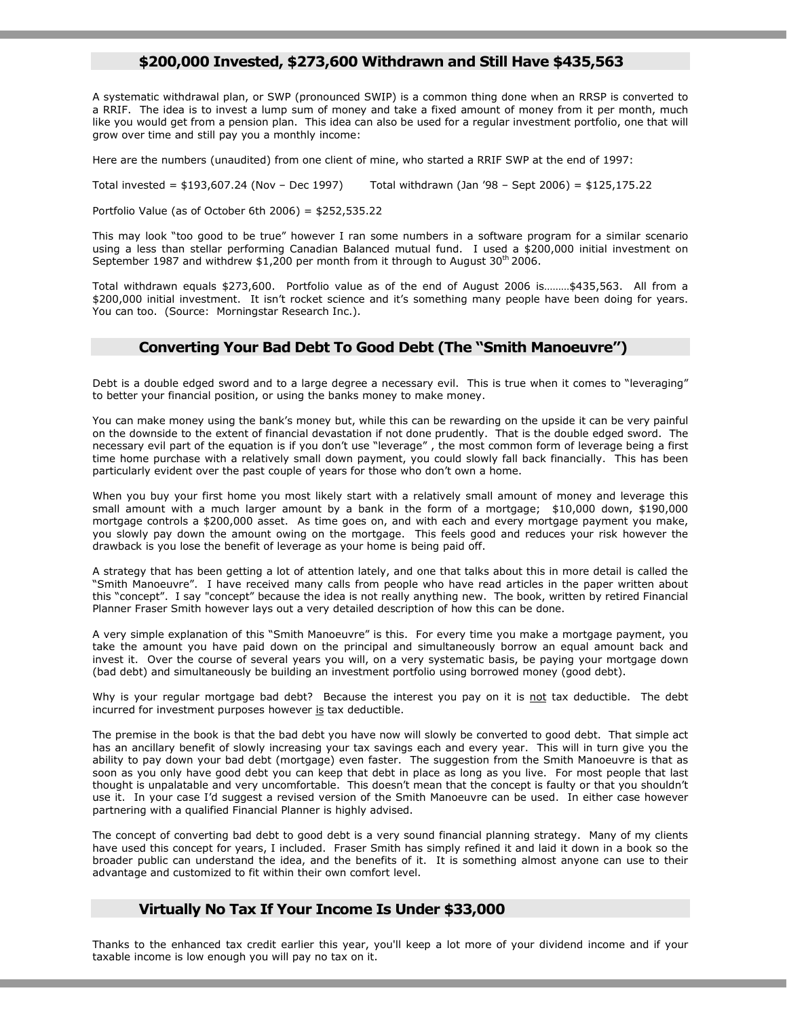## \$200,000 Invested, \$273,600 Withdrawn and Still Have \$435,563

A systematic withdrawal plan, or SWP (pronounced SWIP) is a common thing done when an RRSP is converted to a RRIF. The idea is to invest a lump sum of money and take a fixed amount of money from it per month, much like you would get from a pension plan. This idea can also be used for a regular investment portfolio, one that will grow over time and still pay you a monthly income:

Here are the numbers (unaudited) from one client of mine, who started a RRIF SWP at the end of 1997:

Total invested = \$193,607.24 (Nov – Dec 1997) Total withdrawn (Jan '98 – Sept 2006) = \$125,175.22

Portfolio Value (as of October 6th 2006) = \$252,535.22

This may look "too good to be true" however I ran some numbers in a software program for a similar scenario using a less than stellar performing Canadian Balanced mutual fund. I used a \$200,000 initial investment on September 1987 and withdrew  $$1,200$  per month from it through to August 30<sup>th</sup> 2006.

Total withdrawn equals \$273,600. Portfolio value as of the end of August 2006 is………\$435,563. All from a \$200,000 initial investment. It isn't rocket science and it's something many people have been doing for years. You can too. (Source: Morningstar Research Inc.).

### Converting Your Bad Debt To Good Debt (The "Smith Manoeuvre")

Debt is a double edged sword and to a large degree a necessary evil. This is true when it comes to "leveraging" to better your financial position, or using the banks money to make money.

You can make money using the bank's money but, while this can be rewarding on the upside it can be very painful on the downside to the extent of financial devastation if not done prudently. That is the double edged sword. The necessary evil part of the equation is if you don't use "leverage" , the most common form of leverage being a first time home purchase with a relatively small down payment, you could slowly fall back financially. This has been particularly evident over the past couple of years for those who don't own a home.

When you buy your first home you most likely start with a relatively small amount of money and leverage this small amount with a much larger amount by a bank in the form of a mortgage; \$10,000 down, \$190,000 mortgage controls a \$200,000 asset. As time goes on, and with each and every mortgage payment you make, you slowly pay down the amount owing on the mortgage. This feels good and reduces your risk however the drawback is you lose the benefit of leverage as your home is being paid off.

A strategy that has been getting a lot of attention lately, and one that talks about this in more detail is called the "Smith Manoeuvre". I have received many calls from people who have read articles in the paper written about this "concept". I say "concept" because the idea is not really anything new. The book, written by retired Financial Planner Fraser Smith however lays out a very detailed description of how this can be done.

A very simple explanation of this "Smith Manoeuvre" is this. For every time you make a mortgage payment, you take the amount you have paid down on the principal and simultaneously borrow an equal amount back and invest it. Over the course of several years you will, on a very systematic basis, be paying your mortgage down (bad debt) and simultaneously be building an investment portfolio using borrowed money (good debt).

Why is your regular mortgage bad debt? Because the interest you pay on it is not tax deductible. The debt incurred for investment purposes however is tax deductible.

The premise in the book is that the bad debt you have now will slowly be converted to good debt. That simple act has an ancillary benefit of slowly increasing your tax savings each and every year. This will in turn give you the ability to pay down your bad debt (mortgage) even faster. The suggestion from the Smith Manoeuvre is that as soon as you only have good debt you can keep that debt in place as long as you live. For most people that last thought is unpalatable and very uncomfortable. This doesn't mean that the concept is faulty or that you shouldn't use it. In your case I'd suggest a revised version of the Smith Manoeuvre can be used. In either case however partnering with a qualified Financial Planner is highly advised.

The concept of converting bad debt to good debt is a very sound financial planning strategy. Many of my clients have used this concept for years, I included. Fraser Smith has simply refined it and laid it down in a book so the broader public can understand the idea, and the benefits of it. It is something almost anyone can use to their advantage and customized to fit within their own comfort level.

## Virtually No Tax If Your Income Is Under \$33,000

Thanks to the enhanced tax credit earlier this year, you'll keep a lot more of your dividend income and if your taxable income is low enough you will pay no tax on it.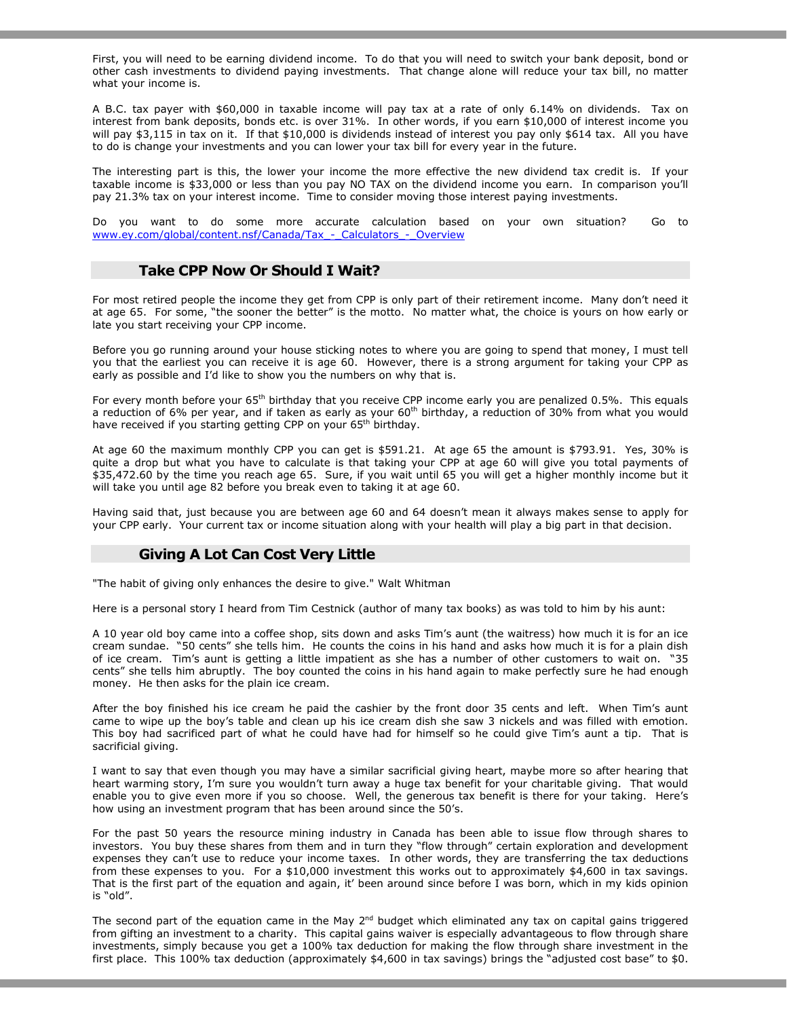First, you will need to be earning dividend income. To do that you will need to switch your bank deposit, bond or other cash investments to dividend paying investments. That change alone will reduce your tax bill, no matter what your income is.

A B.C. tax payer with \$60,000 in taxable income will pay tax at a rate of only 6.14% on dividends. Tax on interest from bank deposits, bonds etc. is over 31%. In other words, if you earn \$10,000 of interest income you will pay \$3,115 in tax on it. If that \$10,000 is dividends instead of interest you pay only \$614 tax. All you have to do is change your investments and you can lower your tax bill for every year in the future.

The interesting part is this, the lower your income the more effective the new dividend tax credit is. If your taxable income is \$33,000 or less than you pay NO TAX on the dividend income you earn. In comparison you'll pay 21.3% tax on your interest income. Time to consider moving those interest paying investments.

Do you want to do some more accurate calculation based on your own situation? Go to www.ey.com/global/content.nsf/Canada/Tax - Calculators - Overview

#### Take CPP Now Or Should I Wait?

For most retired people the income they get from CPP is only part of their retirement income. Many don't need it at age 65. For some, "the sooner the better" is the motto. No matter what, the choice is yours on how early or late you start receiving your CPP income.

Before you go running around your house sticking notes to where you are going to spend that money, I must tell you that the earliest you can receive it is age 60. However, there is a strong argument for taking your CPP as early as possible and I'd like to show you the numbers on why that is.

For every month before your  $65<sup>th</sup>$  birthday that you receive CPP income early you are penalized 0.5%. This equals a reduction of 6% per year, and if taken as early as your 60<sup>th</sup> birthday, a reduction of 30% from what you would have received if you starting getting CPP on your 65<sup>th</sup> birthday.

At age 60 the maximum monthly CPP you can get is \$591.21. At age 65 the amount is \$793.91. Yes, 30% is quite a drop but what you have to calculate is that taking your CPP at age 60 will give you total payments of \$35,472.60 by the time you reach age 65. Sure, if you wait until 65 you will get a higher monthly income but it will take you until age 82 before you break even to taking it at age 60.

Having said that, just because you are between age 60 and 64 doesn't mean it always makes sense to apply for your CPP early. Your current tax or income situation along with your health will play a big part in that decision.

#### Giving A Lot Can Cost Very Little

"The habit of giving only enhances the desire to give." Walt Whitman

Here is a personal story I heard from Tim Cestnick (author of many tax books) as was told to him by his aunt:

A 10 year old boy came into a coffee shop, sits down and asks Tim's aunt (the waitress) how much it is for an ice cream sundae. "50 cents" she tells him. He counts the coins in his hand and asks how much it is for a plain dish of ice cream. Tim's aunt is getting a little impatient as she has a number of other customers to wait on. "35 cents" she tells him abruptly. The boy counted the coins in his hand again to make perfectly sure he had enough money. He then asks for the plain ice cream.

After the boy finished his ice cream he paid the cashier by the front door 35 cents and left. When Tim's aunt came to wipe up the boy's table and clean up his ice cream dish she saw 3 nickels and was filled with emotion. This boy had sacrificed part of what he could have had for himself so he could give Tim's aunt a tip. That is sacrificial giving.

I want to say that even though you may have a similar sacrificial giving heart, maybe more so after hearing that heart warming story, I'm sure you wouldn't turn away a huge tax benefit for your charitable giving. That would enable you to give even more if you so choose. Well, the generous tax benefit is there for your taking. Here's how using an investment program that has been around since the 50's.

For the past 50 years the resource mining industry in Canada has been able to issue flow through shares to investors. You buy these shares from them and in turn they "flow through" certain exploration and development expenses they can't use to reduce your income taxes. In other words, they are transferring the tax deductions from these expenses to you. For a \$10,000 investment this works out to approximately \$4,600 in tax savings. That is the first part of the equation and again, it' been around since before I was born, which in my kids opinion is "old".

The second part of the equation came in the May 2<sup>nd</sup> budget which eliminated any tax on capital gains triggered from gifting an investment to a charity. This capital gains waiver is especially advantageous to flow through share investments, simply because you get a 100% tax deduction for making the flow through share investment in the first place. This 100% tax deduction (approximately \$4,600 in tax savings) brings the "adjusted cost base" to \$0.